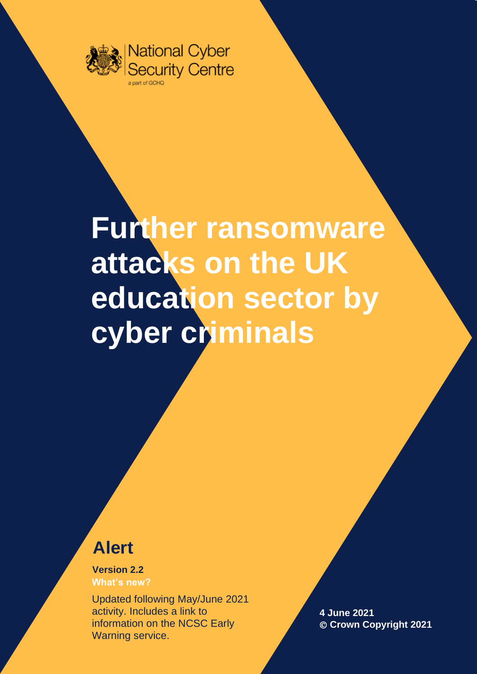

# **Further ransomware attacks on the UK education sector by cyber criminals**

# **Alert**

**Version 2.2 What's new?**

Updated following May/June 2021 activity. Includes a link to information on the NCSC Early Warning service.

**4 June 2021** © **Crown Copyright 2021**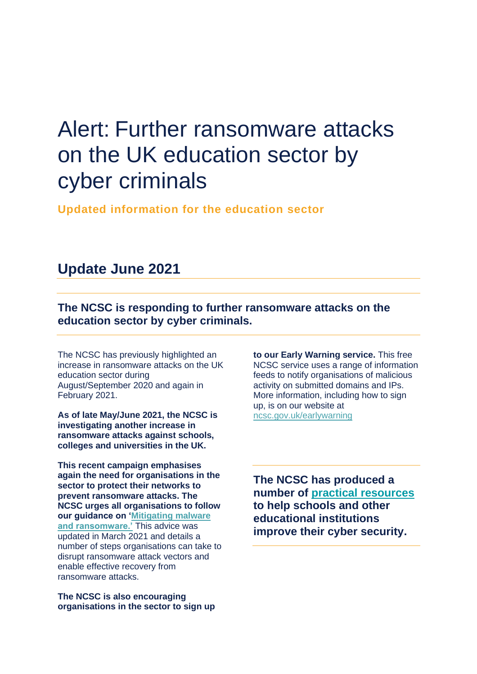# Alert: Further ransomware attacks on the UK education sector by cyber criminals

**Updated information for the education sector**

# **Update June 2021**

**The NCSC is responding to further ransomware attacks on the education sector by cyber criminals.**

The NCSC has previously highlighted an increase in ransomware attacks on the UK education sector during August/September 2020 and again in February 2021.

**As of late May/June 2021, the NCSC is investigating another increase in ransomware attacks against schools, colleges and universities in the UK.**

**This recent campaign emphasises again the need for organisations in the sector to protect their networks to prevent ransomware attacks. The NCSC urges all organisations to follow our guidance on ['Mitigating malware](https://www.ncsc.gov.uk/guidance/mitigating-malware-and-ransomware-attacks)  [and ransomware.'](https://www.ncsc.gov.uk/guidance/mitigating-malware-and-ransomware-attacks)** This advice was updated in March 2021 and details a number of steps organisations can take to disrupt ransomware attack vectors and enable effective recovery from ransomware attacks.

**The NCSC is also encouraging organisations in the sector to sign up**  **to our Early Warning service.** This free NCSC service uses a range of information feeds to notify organisations of malicious activity on submitted domains and IPs. More information, including how to sign up, is on our website at [ncsc.gov.uk/earlywarning](https://www.ncsc.gov.uk/information/early-warning-service)

**The NCSC has produced a number of [practical resources](https://www.ncsc.gov.uk/section/education-skills/cyber-security-schools) to help schools and other educational institutions improve their cyber security.**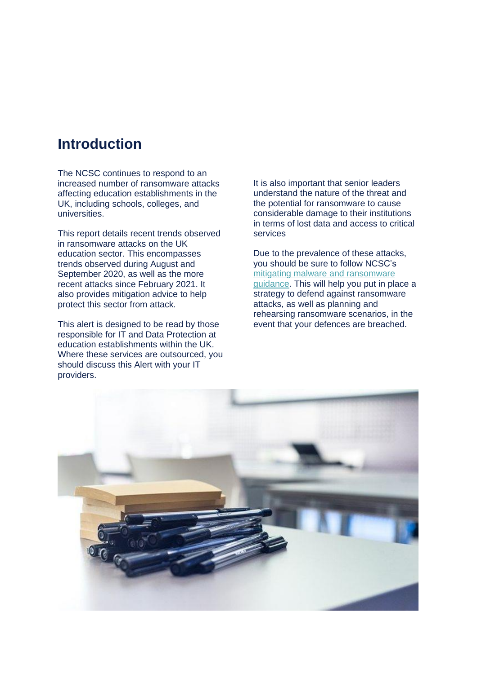## **Introduction**

The NCSC continues to respond to an increased number of ransomware attacks affecting education establishments in the UK, including schools, colleges, and universities.

This report details recent trends observed in ransomware attacks on the UK education sector. This encompasses trends observed during August and September 2020, as well as the more recent attacks since February 2021. It also provides mitigation advice to help protect this sector from attack.

This alert is designed to be read by those responsible for IT and Data Protection at education establishments within the UK. Where these services are outsourced, you should discuss this Alert with your IT providers.

It is also important that senior leaders understand the nature of the threat and the potential for ransomware to cause considerable damage to their institutions in terms of lost data and access to critical services

Due to the prevalence of these attacks, you should be sure to follow NCSC's [mitigating malware and ransomware](https://www.ncsc.gov.uk/guidance/mitigating-malware-and-ransomware-attacks)  [guidance.](https://www.ncsc.gov.uk/guidance/mitigating-malware-and-ransomware-attacks) This will help you put in place a strategy to defend against ransomware attacks, as well as planning and rehearsing ransomware scenarios, in the event that your defences are breached.

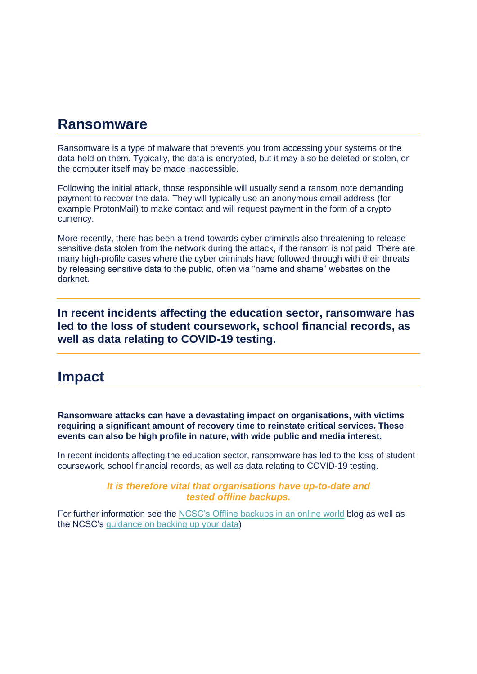### **Ransomware**

Ransomware is a type of malware that prevents you from accessing your systems or the data held on them. Typically, the data is encrypted, but it may also be deleted or stolen, or the computer itself may be made inaccessible.

Following the initial attack, those responsible will usually send a ransom note demanding payment to recover the data. They will typically use an anonymous email address (for example ProtonMail) to make contact and will request payment in the form of a crypto currency.

More recently, there has been a trend towards cyber criminals also threatening to release sensitive data stolen from the network during the attack, if the ransom is not paid. There are many high-profile cases where the cyber criminals have followed through with their threats by releasing sensitive data to the public, often via "name and shame" websites on the darknet.

**In recent incidents affecting the education sector, ransomware has led to the loss of student coursework, school financial records, as well as data relating to COVID-19 testing.**

### **Impact**

**Ransomware attacks can have a devastating impact on organisations, with victims requiring a significant amount of recovery time to reinstate critical services. These events can also be high profile in nature, with wide public and media interest.** 

In recent incidents affecting the education sector, ransomware has led to the loss of student coursework, school financial records, as well as data relating to COVID-19 testing.

> *It is therefore vital that organisations have up-to-date and tested offline backups.*

For further information see the NCSC's Offline [backups in an online world](https://www.ncsc.gov.uk/blog-post/offline-backups-in-an-online-world) blog as well as the NCSC's [guidance on backing up your data\)](https://www.ncsc.gov.uk/collection/small-business-guide/backing-your-data)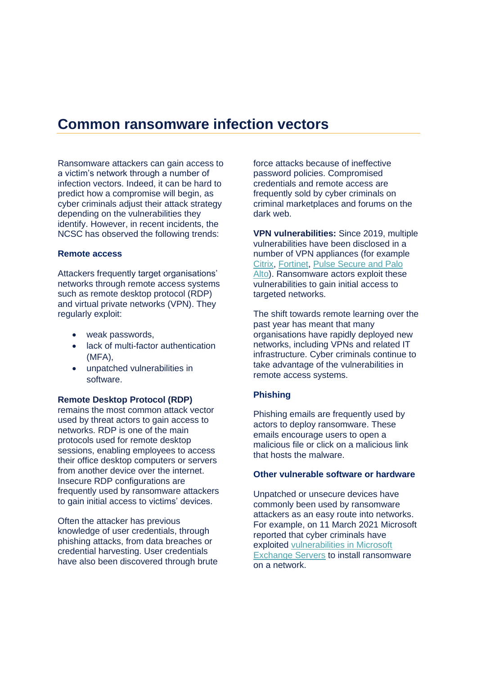### **Common ransomware infection vectors**

Ransomware attackers can gain access to a victim's network through a number of infection vectors. Indeed, it can be hard to predict how a compromise will begin, as cyber criminals adjust their attack strategy depending on the vulnerabilities they identify. However, in recent incidents, the NCSC has observed the following trends:

#### **Remote access**

Attackers frequently target organisations' networks through remote access systems such as remote desktop protocol (RDP) and virtual private networks (VPN). They regularly exploit:

- weak passwords,
- lack of multi-factor authentication (MFA),
- unpatched vulnerabilities in software.

#### **Remote Desktop Protocol (RDP)**

remains the most common attack vector used by threat actors to gain access to networks. RDP is one of the main protocols used for remote desktop sessions, enabling employees to access their office desktop computers or servers from another device over the internet. Insecure RDP configurations are frequently used by ransomware attackers to gain initial access to victims' devices.

Often the attacker has previous knowledge of user credentials, through phishing attacks, from data breaches or credential harvesting. User credentials have also been discovered through brute force attacks because of ineffective password policies. Compromised credentials and remote access are frequently sold by cyber criminals on criminal marketplaces and forums on the dark web.

**VPN vulnerabilities:** Since 2019, multiple vulnerabilities have been disclosed in a number of VPN appliances (for example [Citrix,](https://www.ncsc.gov.uk/news/citrix-alert) [Fortinet,](https://www.ncsc.gov.uk/news/critical-risk-unpatched-fortinet-vpn-devices) [Pulse Secure and Palo](http://ncsc.gov.uk/news/alert-vpn-vulnerabilities)  [Alto\)](http://ncsc.gov.uk/news/alert-vpn-vulnerabilities). Ransomware actors exploit these vulnerabilities to gain initial access to targeted networks.

The shift towards remote learning over the past year has meant that many organisations have rapidly deployed new networks, including VPNs and related IT infrastructure. Cyber criminals continue to take advantage of the vulnerabilities in remote access systems.

#### **Phishing**

Phishing emails are frequently used by actors to deploy ransomware. These emails encourage users to open a malicious file or click on a malicious link that hosts the malware.

#### **Other vulnerable software or hardware**

Unpatched or unsecure devices have commonly been used by ransomware attackers as an easy route into networks. For example, on 11 March 2021 Microsoft reported that cyber criminals have exploited [vulnerabilities in Microsoft](https://www.ncsc.gov.uk/news/advice-following-microsoft-vulnerabilities-exploitation)  [Exchange Servers](https://www.ncsc.gov.uk/news/advice-following-microsoft-vulnerabilities-exploitation) to install ransomware on a network.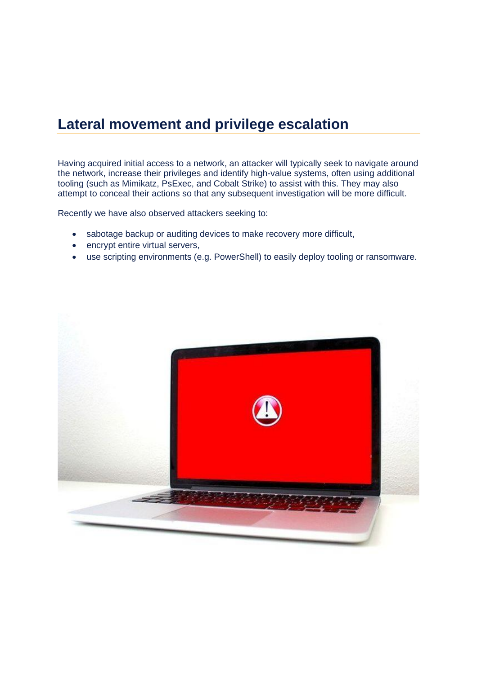# **Lateral movement and privilege escalation**

Having acquired initial access to a network, an attacker will typically seek to navigate around the network, increase their privileges and identify high-value systems, often using additional tooling (such as Mimikatz, PsExec, and Cobalt Strike) to assist with this. They may also attempt to conceal their actions so that any subsequent investigation will be more difficult.

Recently we have also observed attackers seeking to:

- sabotage backup or auditing devices to make recovery more difficult,
- encrypt entire virtual servers,
- use scripting environments (e.g. PowerShell) to easily deploy tooling or ransomware.